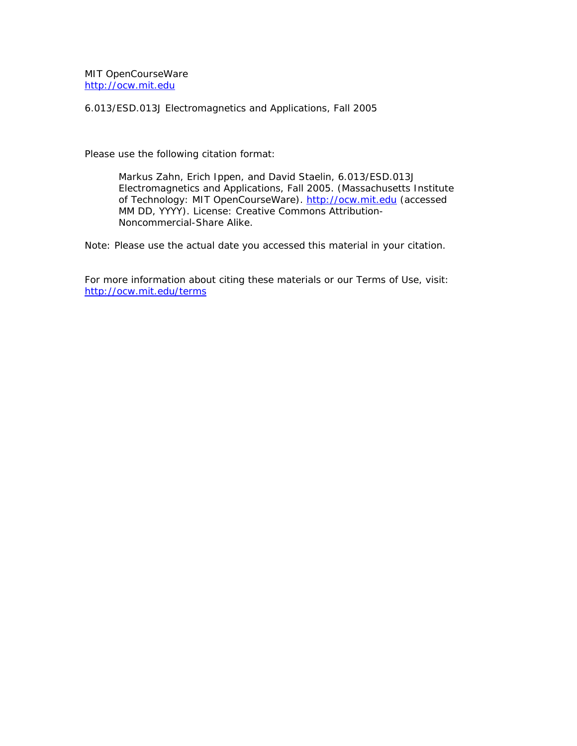MIT OpenCourseWare <http://ocw.mit.edu>

6.013/ESD.013J Electromagnetics and Applications, Fall 2005

Please use the following citation format:

Markus Zahn, Erich Ippen, and David Staelin, *6.013/ESD.013J Electromagnetics and Applications, Fall 2005*. (Massachusetts Institute of Technology: MIT OpenCourseWare). <http://ocw.mit.edu> (accessed MM DD, YYYY). License: Creative Commons Attribution-Noncommercial-Share Alike.

Note: Please use the actual date you accessed this material in your citation.

For more information about citing these materials or our Terms of Use, visit: <http://ocw.mit.edu/terms>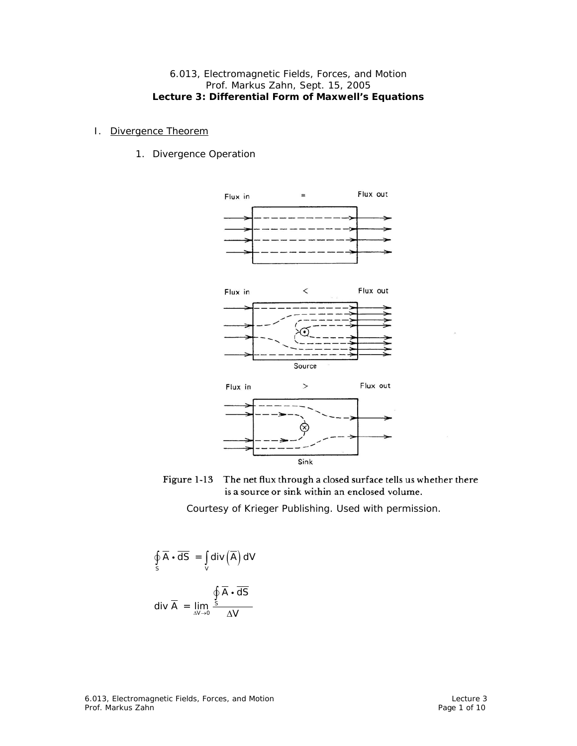## 6.013, Electromagnetic Fields, Forces, and Motion Prof. Markus Zahn, Sept. 15, 2005 **Lecture 3: Differential Form of Maxwell's Equations**

## I. Divergence Theorem

1. Divergence Operation





$$
\oint_{S} \overline{A} \cdot \overline{dS} = \int_{V} \text{div}(\overline{A}) dV
$$
\n
$$
\text{div } \overline{A} = \lim_{\Delta V \to 0} \frac{\oint_{S} \overline{A} \cdot \overline{dS}}{\Delta V}
$$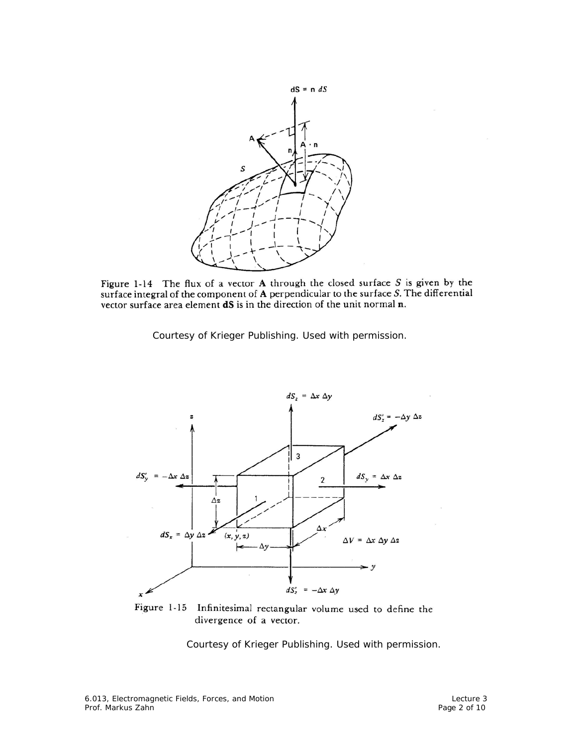

Figure 1-14 The flux of a vector A through the closed surface  $S$  is given by the surface integral of the component of  $A$  perpendicular to the surface  $S$ . The differential vector surface area element dS is in the direction of the unit normal n.

Courtesy of Krieger Publishing. Used with permission.



Figure 1-15 Infinitesimal rectangular volume used to define the divergence of a vector.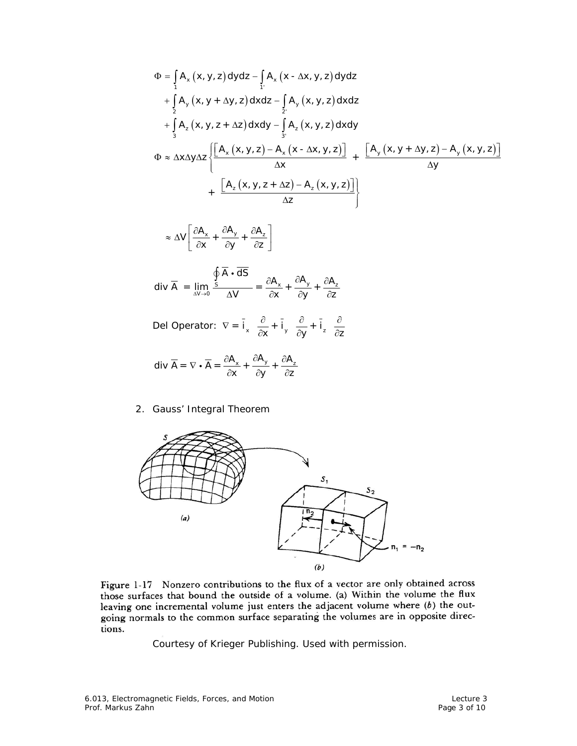$$
\Phi = \int_{1}^{R} A_{x}(x, y, z) dydz - \int_{1}^{R} A_{x}(x - \Delta x, y, z) dydz
$$
\n
$$
+ \int_{2}^{R} A_{y}(x, y + \Delta y, z) dxdz - \int_{2}^{R} A_{y}(x, y, z) dxdz
$$
\n
$$
+ \int_{3}^{R} A_{z}(x, y, z + \Delta z) dxdy - \int_{3}^{R} A_{z}(x, y, z) dxdy
$$
\n
$$
\Phi \approx \Delta x \Delta y \Delta z \left\{ \frac{\left[A_{x}(x, y, z) - A_{x}(x - \Delta x, y, z)\right]}{\Delta x} + \frac{\left[A_{y}(x, y + \Delta y, z) - A_{y}(x, y, z)\right]}{\Delta y} + \frac{\left[A_{z}(x, y, z + \Delta z) - A_{z}(x, y, z)\right]}{\Delta z} \right\}
$$

$$
\approx \Delta V \left[ \frac{\partial A_x}{\partial x} + \frac{\partial A_y}{\partial y} + \frac{\partial A_z}{\partial z} \right]
$$

$$
\text{div }\overline{A} = \lim_{\Delta V \to 0} \frac{\oint \overline{A} \cdot \overline{dS}}{\Delta V} = \frac{\partial A_x}{\partial x} + \frac{\partial A_y}{\partial y} + \frac{\partial A_z}{\partial z}
$$

Del Operator:  $\nabla = \vec{i}_x \frac{\partial}{\partial x} + \vec{i}_y \frac{\partial}{\partial y} + \vec{i}_z \frac{\partial}{\partial z}$ − a − a −

$$
\text{div }\overline{A} = \nabla \bullet \overline{A} = \frac{\partial A_x}{\partial x} + \frac{\partial A_y}{\partial y} + \frac{\partial A_z}{\partial z}
$$

2. Gauss' Integral Theorem



Figure 1-17 Nonzero contributions to the flux of a vector are only obtained across those surfaces that bound the outside of a volume. (a) Within the volume the flux leaving one incremental volume just enters the adjacent volume where  $(b)$  the outgoing normals to the common surface separating the volumes are in opposite directions.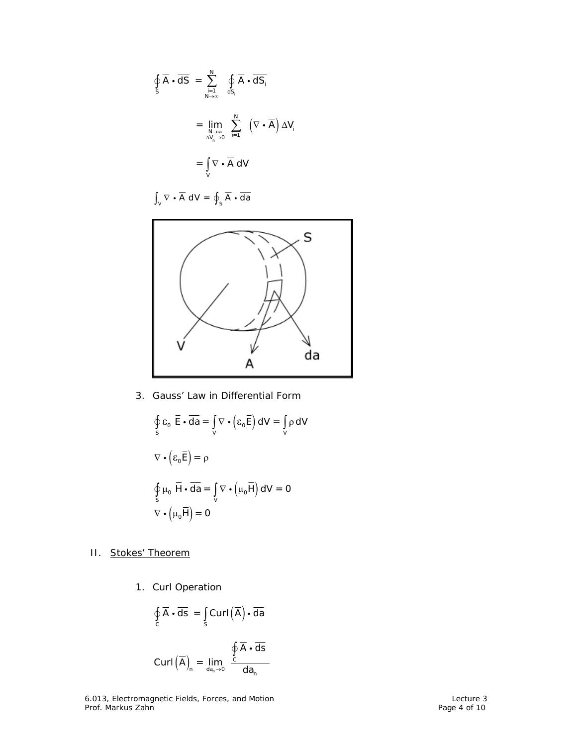$$
\oint_{S} \overline{A} \cdot \overline{dS} = \sum_{\substack{i=1 \ \text{and} \ \text{and} \ j \in \mathbb{N}}}^N \oint_{dS_i} \overline{A} \cdot \overline{dS_i}
$$
\n
$$
= \lim_{\substack{N \to \infty \ \text{and} \ j \in \mathbb{N}}} \sum_{i=1}^N (\nabla \cdot \overline{A}) \Delta V_i
$$
\n
$$
= \int_{V} \nabla \cdot \overline{A} \, dV
$$

 $\int_{V} \nabla \cdot \overline{A} dV = \oint_{S} \overline{A} \cdot \overline{da}$ 



3. Gauss' Law in Differential Form

$$
\oint_{s} \varepsilon_{0} \overline{\mathbf{E}} \cdot d\overline{\mathbf{a}} = \int_{V} \nabla \cdot (\varepsilon_{0} \overline{\mathbf{E}}) dV = \int_{V} \rho dV
$$
\n
$$
\nabla \cdot (\varepsilon_{0} \overline{\mathbf{E}}) = \rho
$$
\n
$$
\oint_{S} \mu_{0} \overline{\mathbf{H}} \cdot d\overline{\mathbf{a}} = \int_{V} \nabla \cdot (\mu_{0} \overline{\mathbf{H}}) dV = 0
$$
\n
$$
\nabla \cdot (\mu_{0} \overline{\mathbf{H}}) = 0
$$

- II. Stokes' Theorem
	- 1. Curl Operation

$$
\oint_c \overline{A} \cdot \overline{ds} = \int_s \text{Curl}(\overline{A}) \cdot \overline{da}
$$
\n
$$
\text{Curl}(\overline{A})_n = \lim_{\text{da}_n \to 0} \frac{\oint_c \overline{A} \cdot \overline{ds}}{\text{da}_n}
$$

6.013, Electromagnetic Fields, Forces, and Motion Lecture 3 and Motion Lecture 3 Prof. Markus Zahn Page 4 of 10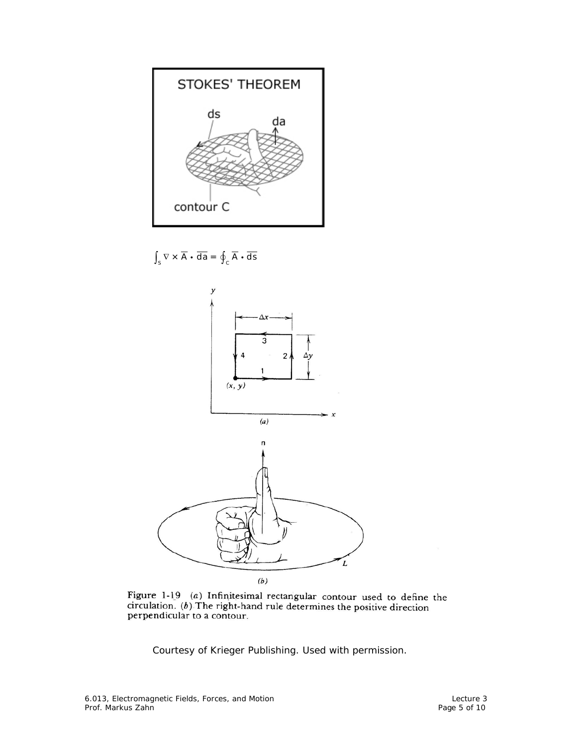

 $\int_{\mathsf{S}} \nabla \times \overline{\mathsf{A}} \cdot \overline{\mathsf{da}} = \oint_{\mathsf{C}} \overline{\mathsf{A}} \cdot \overline{\mathsf{ds}}$ 



Figure 1-19 (a) Infinitesimal rectangular contour used to define the circulation. (b) The right-hand rule determines the positive direction perpendicular to a contour.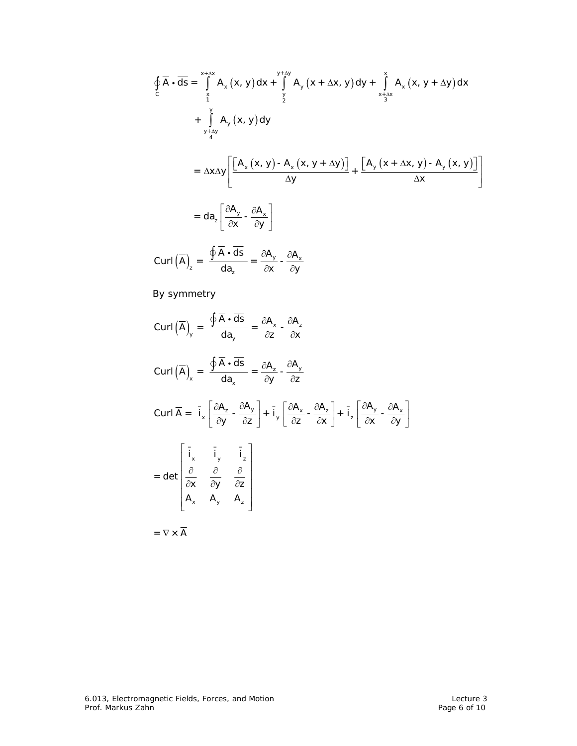$$
\oint_{C} \overline{A} \cdot d\overline{s} = \int_{\frac{x}{1}}^{x+\Delta x} A_{x}(x, y) dx + \int_{\frac{y}{2}}^{y+\Delta y} A_{y}(x + \Delta x, y) dy + \int_{\frac{x+\Delta x}{3}}^{x} A_{x}(x, y + \Delta y) dx
$$
\n
$$
+ \int_{\frac{y}{4}}^{y} A_{y}(x, y) dy
$$
\n
$$
= \Delta x \Delta y \left[ \frac{[A_{x}(x, y) - A_{x}(x, y + \Delta y)]}{\Delta y} + \frac{[A_{y}(x + \Delta x, y) - A_{y}(x, y)]}{\Delta x} \right]
$$
\n
$$
= d a_{z} \left[ \frac{\partial A_{y}}{\partial x} - \frac{\partial A_{x}}{\partial y} \right]
$$
\n
$$
Curl\left(\overline{A}\right)_{z} = \frac{\oint \overline{A} \cdot d\overline{s}}{da_{z}} = \frac{\partial A_{y}}{\partial x} - \frac{\partial A_{x}}{\partial y}
$$
\nBy symmetry

By symmetry

$$
\text{Curl}(\overline{A})_{y} = \frac{\oint \overline{A} \cdot d\overline{s}}{da_{y}} = \frac{\partial A_{x}}{\partial z} - \frac{\partial A_{z}}{\partial x}
$$
\n
$$
\text{Curl}(\overline{A})_{x} = \frac{\oint \overline{A} \cdot d\overline{s}}{da_{x}} = \frac{\partial A_{z}}{\partial y} - \frac{\partial A_{y}}{\partial z}
$$
\n
$$
\text{Curl} \overline{A} = \overline{i}_{x} \left[ \frac{\partial A_{z}}{\partial y} - \frac{\partial A_{y}}{\partial z} \right] + \overline{i}_{y} \left[ \frac{\partial A_{x}}{\partial z} - \frac{\partial A_{z}}{\partial x} \right] + \overline{i}_{z} \left[ \frac{\partial A_{y}}{\partial x} - \frac{\partial A_{x}}{\partial y} \right]
$$
\n
$$
= \text{det} \begin{bmatrix} \overline{i}_{x} & \overline{i}_{y} & \overline{i}_{z} \\ \frac{\partial}{\partial x} & \frac{\partial}{\partial y} & \frac{\partial}{\partial z} \\ A_{x} & A_{y} & A_{z} \end{bmatrix}
$$
\n
$$
= \nabla \times \overline{A}
$$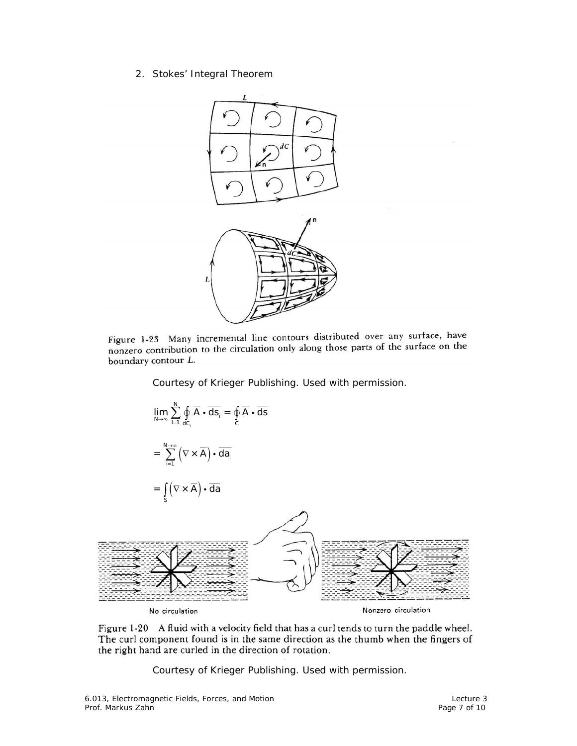2. Stokes' Integral Theorem



Figure 1-23 Many incremental line contours distributed over any surface, have nonzero contribution to the circulation only along those parts of the surface on the boundary contour L.

Courtesy of Krieger Publishing. Used with permission.



Figure 1-20 A fluid with a velocity field that has a curl tends to turn the paddle wheel. The curl component found is in the same direction as the thumb when the fingers of the right hand are curled in the direction of rotation.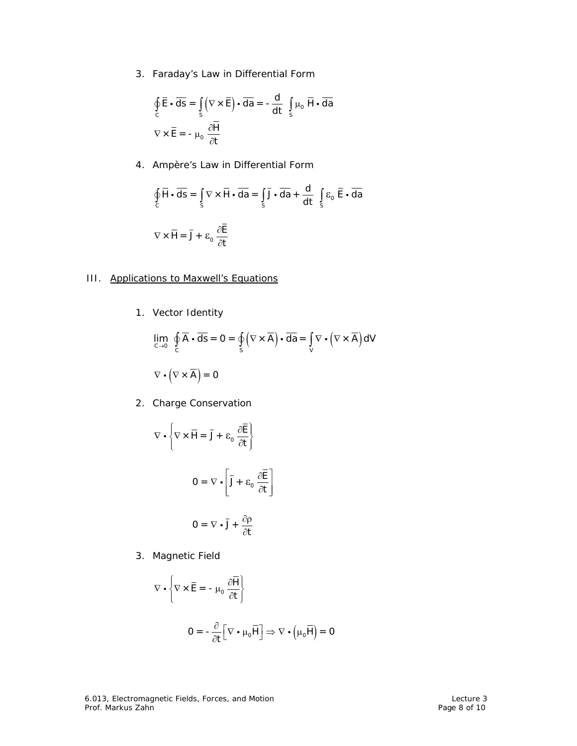3. Faraday's Law in Differential Form

$$
\oint_{C} \overline{\mathbf{E}} \cdot \overline{\mathbf{ds}} = \int_{S} (\nabla \times \overline{\mathbf{E}}) \cdot \overline{\mathbf{da}} = -\frac{\mathbf{d}}{\mathbf{dt}} \int_{S} \mu_{0} \overline{\mathbf{H}} \cdot \overline{\mathbf{da}}
$$
\n
$$
\nabla \times \overline{\mathbf{E}} = -\mu_{0} \frac{\partial \overline{\mathbf{H}}}{\partial t}
$$

4. Ampère's Law in Differential Form

$$
\oint_{C} \overline{H} \cdot d\overline{s} = \int_{S} \nabla \times \overline{H} \cdot d\overline{a} = \int_{S} \overline{J} \cdot d\overline{a} + \frac{d}{dt} \int_{S} \varepsilon_{0} \overline{E} \cdot d\overline{a}
$$
\n
$$
\nabla \times \overline{H} = \overline{J} + \varepsilon_{0} \frac{\partial \overline{E}}{\partial t}
$$

## III. Applications to Maxwell's Equations

1. Vector Identity

$$
\lim_{C \to 0} \oint_C \overline{A} \cdot \overline{ds} = 0 = \oint_S (\nabla \times \overline{A}) \cdot \overline{da} = \int_V \nabla \cdot (\nabla \times \overline{A}) dV
$$

$$
\nabla \cdot (\nabla \times \overline{A}) = 0
$$

2. Charge Conservation

$$
\nabla \cdot \left\{ \nabla \times \overline{\mathbf{H}} = \overline{\mathbf{J}} + \varepsilon_0 \frac{\partial \overline{\mathbf{E}}}{\partial \mathbf{t}} \right\}
$$
  

$$
\mathbf{O} = \nabla \cdot \left[ \overline{\mathbf{J}} + \varepsilon_0 \frac{\partial \overline{\mathbf{E}}}{\partial \mathbf{t}} \right]
$$
  

$$
\mathbf{O} = \nabla \cdot \overline{\mathbf{J}} + \frac{\partial \rho}{\partial \mathbf{t}}
$$

3. Magnetic Field

$$
\nabla \cdot \left\{ \nabla \times \overline{\mathbf{E}} = -\mu_0 \frac{\partial \overline{\mathbf{H}}}{\partial t} \right\}
$$
  

$$
\mathbf{O} = -\frac{\partial}{\partial t} \left[ \nabla \cdot \mu_0 \overline{\mathbf{H}} \right] \Rightarrow \nabla \cdot \left( \mu_0 \overline{\mathbf{H}} \right) = \mathbf{O}
$$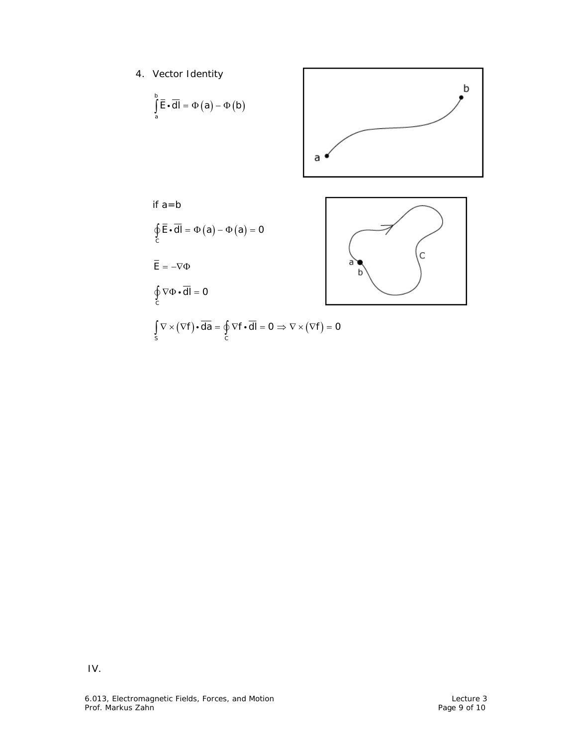4. Vector Identity

$$
\int_{a}^{b} \overline{E} \cdot d\overline{l} = \Phi(a) - \Phi(b)
$$



if a=b (a) – Ф (a)  $\oint_{c} \mathsf{E} \cdot \mathsf{d} \mathsf{l} = \Phi(a) - \Phi(a) = 0$  $\overline{\mathsf{E}} = -\nabla \Phi$  $\oint_C \nabla \Phi \cdot d\mathsf{I} = 0$ 



$$
\int_{S} \nabla \times (\nabla f) \cdot \overline{da} = \oint_{C} \nabla f \cdot \overline{dl} = 0 \Rightarrow \nabla \times (\nabla f) = 0
$$